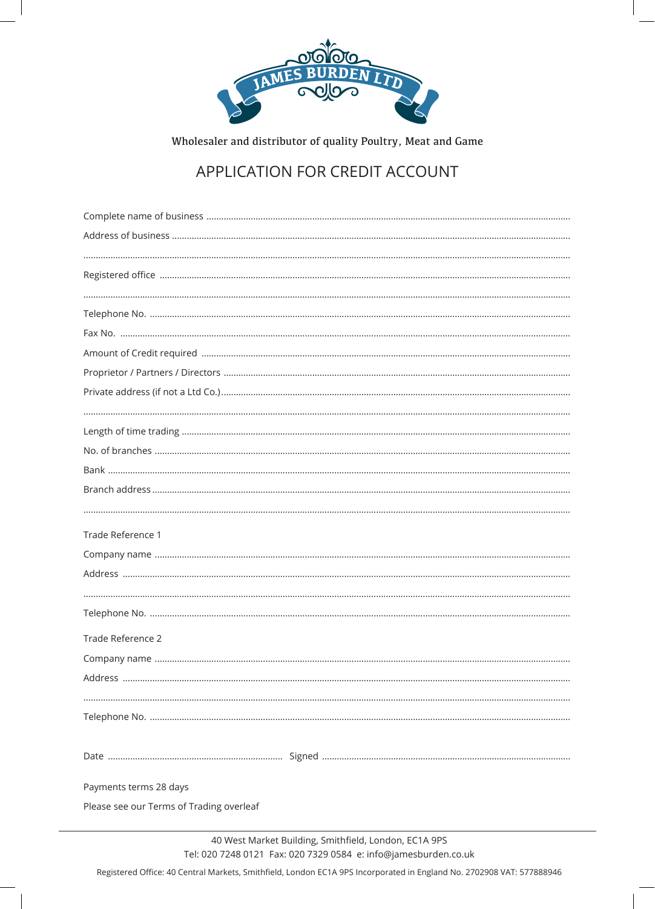

Wholesaler and distributor of quality Poultry, Meat and Game

# APPLICATION FOR CREDIT ACCOUNT

| Trade Reference 1                        |
|------------------------------------------|
|                                          |
|                                          |
|                                          |
|                                          |
|                                          |
| Trade Reference 2                        |
|                                          |
|                                          |
|                                          |
|                                          |
|                                          |
|                                          |
| Payments terms 28 days                   |
| Please see our Terms of Trading overleaf |
|                                          |

Registered Office: 40 Central Markets, Smithfield, London EC1A 9PS Incorporated in England No. 2702908 VAT: 577888946